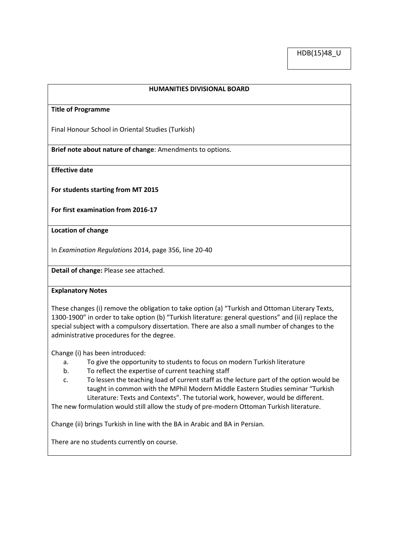### **HUMANITIES DIVISIONAL BOARD**

#### **Title of Programme**

Final Honour School in Oriental Studies (Turkish)

**Brief note about nature of change**: Amendments to options.

**Effective date**

**For students starting from MT 2015**

**For first examination from 2016-17**

#### **Location of change**

In *Examination Regulations* 2014, page 356, line 20-40

**Detail of change:** Please see attached.

### **Explanatory Notes**

These changes (i) remove the obligation to take option (a) "Turkish and Ottoman Literary Texts, 1300-1900" in order to take option (b) "Turkish literature: general questions" and (ii) replace the special subject with a compulsory dissertation. There are also a small number of changes to the administrative procedures for the degree.

Change (i) has been introduced:

- a. To give the opportunity to students to focus on modern Turkish literature
- b. To reflect the expertise of current teaching staff
- c. To lessen the teaching load of current staff as the lecture part of the option would be taught in common with the MPhil Modern Middle Eastern Studies seminar "Turkish Literature: Texts and Contexts". The tutorial work, however, would be different.

The new formulation would still allow the study of pre-modern Ottoman Turkish literature.

Change (ii) brings Turkish in line with the BA in Arabic and BA in Persian.

There are no students currently on course.